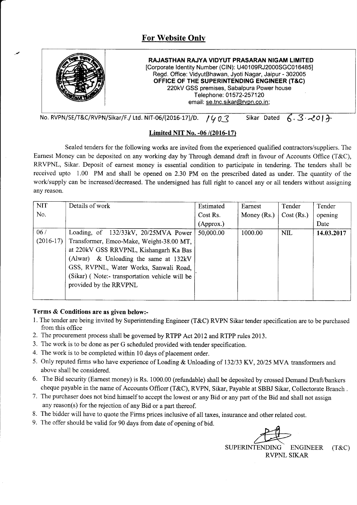

No. RVPN/SE/T&C/RVPN/Sikar/F./ Ltd. NIT-06/(2016-17)/D.  $14.97$  Sikar Dated  $6.3$  -2017

# Limited NIT No. -06 /(2016-17)

Sealed tenders for the following works are invited from the experienced qualified contractors/suppliers. The Earnest Money can be deposited on any working day by Through demand draft in favour of Accounts Office (T&C), RRVPNL, Sikar. Deposit of earnest money is essential condition to participate in tendering. The tenders shall be received upto 1.00 PM and shall be opened on 2.30 PM on the prescribed dated as under. The quantity of the work/supply can be increased/decreased. The undersigned has full right to cancel any or all tenders without assigning any reason.

| <b>NIT</b>  | Details of work                                | Estimated | Earnest       | Tender     | Tender     |
|-------------|------------------------------------------------|-----------|---------------|------------|------------|
| No.         |                                                | Cost Rs.  | Money $(Rs.)$ | Cost (Rs.) | opening    |
|             |                                                | (Approx.) |               |            | Date       |
| 06/         | Loading, of 132/33kV, 20/25MVA Power           | 50,000.00 | 1000.00       | <b>NIL</b> | 14.03.2017 |
| $(2016-17)$ | Transformer, Emco-Make, Weight-38.00 MT,       |           |               |            |            |
|             | at 220kV GSS RRVPNL, Kishangarh Ka Bas         |           |               |            |            |
|             | (Alwar) & Unloading the same at $132kV$        |           |               |            |            |
|             | GSS, RVPNL, Water Works, Sanwali Road,         |           |               |            |            |
|             | (Sikar) (Note:- transportation vehicle will be |           |               |            |            |
|             | provided by the RRVPNL                         |           |               |            |            |
|             |                                                |           |               |            |            |

### Terms & Conditions are as given below:-

- l. The tender are being invited by Superintending Engineer (T&C) RVPN Sikar tender specification are to be purchased from this office
- 2. The procurement process shall be governed by RTPP Act 2012 and RTPP rules 2013.
- 3. The work is to be done as per G scheduled provided with tender specification.
- 4. The work is to be completed within 10 days of placement order.
- 5. Only reputed firms who have experience of Loading & Unloading of 132/33 KV, 20/25 MVA transformers and above shall be considered.
- 6. The Bid security (Earnest money) is Rs. 1000.00 (refundable) shall be deposited by crossed Demand Draft,/bankers cheque payable in the name of Accounts Officer (T&C), RVPN, Sikar, Payable at SBBJ Sikar, Collectorate Branch .
- 7. The purchaser does not bind himself to accept the lowest or any Bid or any part of the Bid and shall not assign any reason(s) for the rejection of any Bid or a part thereof.
- 8. The bidder will have to quote the Firms prices inclusive of all taxes, insurance and other related cost.
- 9. The offer should be valid for 90 days from date of opening of bid.

 $\mathcal{F}$ 

SUPERINTENDING ENGINEER (T&C) RVPNL SIKAR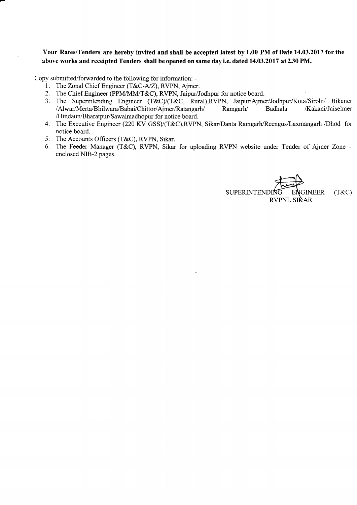Your Rates/Tenders are hereby invited and shall be accepted latest by 1.00 PM of Date 14.03.2017 forthe above works and receipted Tenders shall beopened on same dayi.e. dated 14.03.2017 at230 PM.

Copy submitted/forwarded to the following for information: -

- l. TheZonal Chief Engineer (T&C-A/Z), RVPN, Ajmer.
- 2. The Chief Engineer (PPM/MM/T&C), RVPN, Jaipur/Jodhpur for notice board.
- 3. The Superintending Engineer (T&C)/(T&C, Rural),RVPN, Jaipur/Ajmer/Jodhpur/Kota/Sirohi/ Bikaner<br>Alwar/Merta/Bhilwara/Babai/Chittor/Aimer/Ratangarh/ Ramgarh/ Badhala /Kakani/Jaiselmer/ /Alwar/Merta/Bhilwara/Babai/Chittor/Ajmer/Ratangarh/ /Hindaun/Bharatpur/Sawaimadhopur for notice board.
- 4. The Executive Engineer (220 KV GSS)/(T&C),RVPN, Sikar/Danta Ramgarh/Reengus/Laxmangarh /Dhod for notice board.
- 5. The Accounts Officers (T&C), RVPN, Sikar.
- 6. The Feeder Manager (T&C), RVPN, Sikar for uploading RVPN website under Tender of Ajmer Zone enclosed NIB-2 pages.

SUPERINTENDING ENGINEER (T&C) RVPNL SIKAR